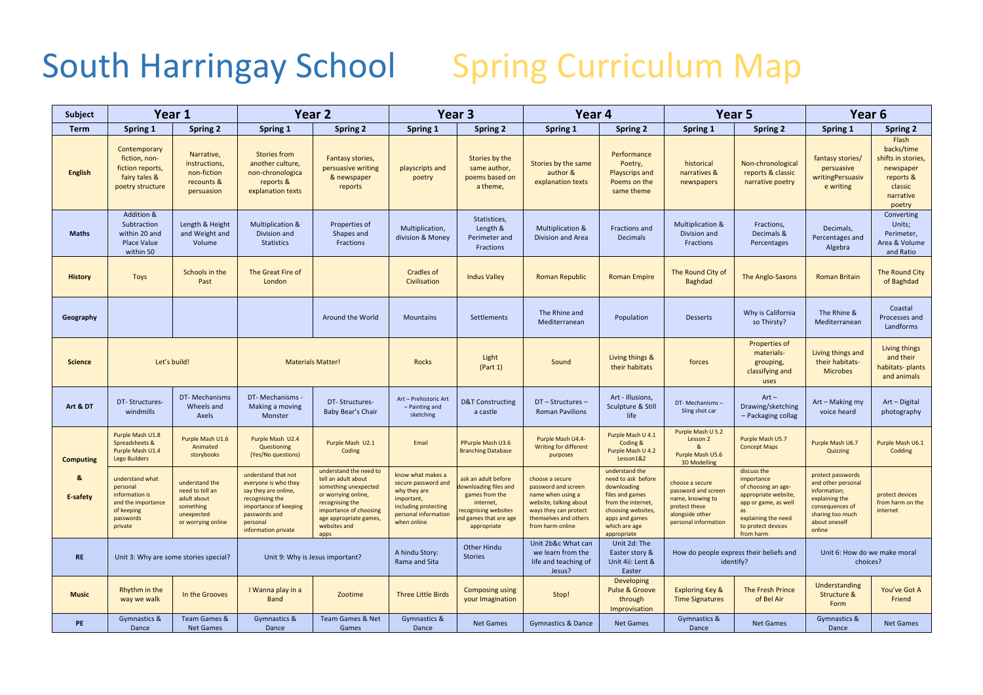## South Harringay School Spring Curriculum Map

| <b>Subject</b>   | Year 1                                                                                                    |                                                                                                   | Year <sub>2</sub>                                                                                                                                                   |                                                                                                                                                                                             | Year <sub>3</sub>                                                                                                                     |                                                                                                                                           | Year 4                                                                                                                                                      |                                                                                                                                                                     | Year <sub>5</sub>                                                                                                      |                                                                                                                                                           | Year <sub>6</sub>                                                                                                                           |                                                                                                       |
|------------------|-----------------------------------------------------------------------------------------------------------|---------------------------------------------------------------------------------------------------|---------------------------------------------------------------------------------------------------------------------------------------------------------------------|---------------------------------------------------------------------------------------------------------------------------------------------------------------------------------------------|---------------------------------------------------------------------------------------------------------------------------------------|-------------------------------------------------------------------------------------------------------------------------------------------|-------------------------------------------------------------------------------------------------------------------------------------------------------------|---------------------------------------------------------------------------------------------------------------------------------------------------------------------|------------------------------------------------------------------------------------------------------------------------|-----------------------------------------------------------------------------------------------------------------------------------------------------------|---------------------------------------------------------------------------------------------------------------------------------------------|-------------------------------------------------------------------------------------------------------|
| <b>Term</b>      | Spring 1                                                                                                  | <b>Spring 2</b>                                                                                   | Spring 1                                                                                                                                                            | Spring 2                                                                                                                                                                                    | Spring 1                                                                                                                              | <b>Spring 2</b>                                                                                                                           | Spring 1                                                                                                                                                    | Spring 2                                                                                                                                                            | Spring 1                                                                                                               | <b>Spring 2</b>                                                                                                                                           | Spring 1                                                                                                                                    | <b>Spring 2</b>                                                                                       |
| <b>English</b>   | Contemporary<br>fiction, non-<br>fiction reports,<br>fairy tales &<br>poetry structure                    | Narrative,<br>instructions,<br>non-fiction<br>recounts &<br>persuasion                            | <b>Stories from</b><br>another culture,<br>non-chronologica<br>reports &<br>explanation texts                                                                       | Fantasy stories,<br>persuasive writing<br>& newspaper<br>reports                                                                                                                            | playscripts and<br>poetry                                                                                                             | Stories by the<br>same author,<br>poems based on<br>a theme,                                                                              | Stories by the same<br>author &<br>explanation texts                                                                                                        | Performance<br>Poetry,<br><b>Playscrips and</b><br>Poems on the<br>same theme                                                                                       | historical<br>narratives &<br>newspapers                                                                               | Non-chronological<br>reports & classic<br>narrative poetry                                                                                                | fantasy stories/<br>persuasive<br>writingPersuasiv<br>e writing                                                                             | Flash<br>backs/time<br>shifts in stories,<br>newspaper<br>reports &<br>classic<br>narrative<br>poetry |
| <b>Maths</b>     | Addition &<br>Subtraction<br>within 20 and<br><b>Place Value</b><br>within 50                             | Length & Height<br>and Weight and<br>Volume                                                       | <b>Multiplication &amp;</b><br>Division and<br><b>Statistics</b>                                                                                                    | Properties of<br>Shapes and<br>Fractions                                                                                                                                                    | Multiplication,<br>division & Money                                                                                                   | Statistices,<br>Length &<br>Perimeter and<br>Fractions                                                                                    | Multiplication &<br>Division and Area                                                                                                                       | Fractions and<br>Decimals                                                                                                                                           | <b>Multiplication &amp;</b><br>Division and<br>Fractions                                                               | Fractions,<br>Decimals &<br>Percentages                                                                                                                   | Decimals,<br>Percentages and<br>Algebra                                                                                                     | Converting<br>Units;<br>Perimeter,<br>Area & Volume<br>and Ratio                                      |
| <b>History</b>   | <b>Toys</b>                                                                                               | Schools in the<br>Past                                                                            | The Great Fire of<br>London                                                                                                                                         |                                                                                                                                                                                             | <b>Cradles of</b><br>Civilisation                                                                                                     | <b>Indus Valley</b>                                                                                                                       | Roman Republic                                                                                                                                              | <b>Roman Empire</b>                                                                                                                                                 | The Round City of<br><b>Baghdad</b>                                                                                    | The Anglo-Saxons                                                                                                                                          | <b>Roman Britain</b>                                                                                                                        | <b>The Round City</b><br>of Baghdad                                                                   |
| Geography        |                                                                                                           |                                                                                                   |                                                                                                                                                                     | Around the World                                                                                                                                                                            | <b>Mountains</b>                                                                                                                      | <b>Settlements</b>                                                                                                                        | The Rhine and<br>Mediterranean                                                                                                                              | Population                                                                                                                                                          | <b>Desserts</b>                                                                                                        | Why is California<br>so Thirsty?                                                                                                                          | The Rhine &<br>Mediterranean                                                                                                                | Coastal<br>Processes and<br>Landforms                                                                 |
| <b>Science</b>   | Let's build!                                                                                              |                                                                                                   | <b>Materials Matter!</b>                                                                                                                                            |                                                                                                                                                                                             | <b>Rocks</b>                                                                                                                          | Light<br>(Part 1)                                                                                                                         | Sound                                                                                                                                                       | Living things &<br>their habitats                                                                                                                                   | forces                                                                                                                 | Properties of<br>materials-<br>grouping,<br>classifying and<br>uses                                                                                       | Living things and<br>their habitats-<br><b>Microbes</b>                                                                                     | Living things<br>and their<br>habitats-plants<br>and animals                                          |
| Art & DT         | DT-Structures-<br>windmills                                                                               | DT-Mechanisms<br>Wheels and<br>Axels                                                              | DT- Mechanisms -<br>Making a moving<br>Monster                                                                                                                      | DT-Structures-<br>Baby Bear's Chair                                                                                                                                                         | Art - Prehistoric Art<br>- Painting and<br>sketching                                                                                  | <b>D&amp;T Constructing</b><br>a castle                                                                                                   | DT - Structures -<br><b>Roman Pavilions</b>                                                                                                                 | Art - Illusions,<br>Sculpture & Still<br>life                                                                                                                       | DT-Mechanisms-<br>Sling shot car                                                                                       | $Art -$<br>Drawing/sketching<br>- Packaging collag                                                                                                        | Art - Making my<br>voice heard                                                                                                              | Art - Digital<br>photography                                                                          |
| <b>Computing</b> | Purple Mash U1.8<br>Spreadsheets &<br>Purple Mash U1.4<br><b>Lego Builders</b>                            | Purple Mash U1.6<br>Animated<br>storybooks                                                        | Purple Mash U2.4<br>Questioning<br>(Yes/No questions)                                                                                                               | Purple Mash U2.1<br>Coding                                                                                                                                                                  | Email                                                                                                                                 | PPurple Mash U3.6<br><b>Branching Database</b>                                                                                            | Purple Mash U4.4-<br>Writing for different<br>purposes                                                                                                      | Purple Mash U 4.1<br>Coding &<br>Purple Mash U 4.2<br>Lesson1&2                                                                                                     | Purple Mash U 5.2<br>Lesson 2<br>&<br>Purple Mash U5.6<br>3D Modelling                                                 | Purple Mash U5.7<br><b>Concept Maps</b>                                                                                                                   | Purple Mash U6.7<br>Quizzing                                                                                                                | Purple Mash U6.1<br>Codding                                                                           |
| &<br>E-safety    | understand what<br>personal<br>information is<br>and the importance<br>of keeping<br>passwords<br>private | understand the<br>need to tell an<br>adult about<br>something<br>unexpected<br>or worrying online | understand that not<br>everyone is who they<br>say they are online,<br>recognising the<br>importance of keeping<br>passwords and<br>personal<br>information private | understand the need to<br>tell an adult about<br>something unexpected<br>or worrying online,<br>recognising the<br>importance of choosing<br>age appropriate games,<br>websites and<br>apps | know what makes a<br>secure password and<br>why they are<br>important,<br>including protecting<br>personal information<br>when online | ask an adult before<br>downloading files and<br>games from the<br>internet,<br>ecognising websites<br>d games that are age<br>appropriate | choose a secure<br>password and screen<br>name when using a<br>website, talking about<br>ways they can protect<br>themselves and others<br>from harm online | understand the<br>need to ask before<br>downloading<br>files and games<br>from the internet,<br>choosing websites<br>apps and games<br>which are age<br>appropriate | choose a secure<br>password and screen<br>name, knowing to<br>protect these<br>alongside other<br>personal information | discuss the<br>importance<br>of choosing an age-<br>appropriate website<br>app or game, as well<br>explaining the need<br>to protect devices<br>from harm | protect passwords<br>and other personal<br>information;<br>explaining the<br>consequences of<br>sharing too much<br>about oneself<br>online | protect devices<br>from harm on the<br>internet                                                       |
| <b>RE</b>        | Unit 3: Why are some stories special?                                                                     |                                                                                                   | Unit 9: Why is Jesus important?                                                                                                                                     |                                                                                                                                                                                             | A hindu Story:<br>Rama and Sita                                                                                                       | <b>Other Hindu</b><br><b>Stories</b>                                                                                                      | Unit 2b&c What can<br>we learn from the<br>life and teaching of<br>Jesus?                                                                                   | Unit 2d: The<br>Easter story &<br>Unit 4ii: Lent &<br>Easter                                                                                                        | How do people express their beliefs and<br>identify?                                                                   |                                                                                                                                                           | Unit 6: How do we make moral<br>choices?                                                                                                    |                                                                                                       |
| <b>Music</b>     | Rhythm in the<br>way we walk                                                                              | In the Grooves                                                                                    | I Wanna play in a<br>Band                                                                                                                                           | Zootime                                                                                                                                                                                     | <b>Three Little Birds</b>                                                                                                             | <b>Composing using</b><br>your Imagination                                                                                                | Stop!                                                                                                                                                       | Developing<br><b>Pulse &amp; Groove</b><br>through<br>Improvisation                                                                                                 | <b>Exploring Key &amp;</b><br><b>Time Signatures</b>                                                                   | The Fresh Prince<br>of Bel Air                                                                                                                            | Understanding<br>Structure &<br>Form                                                                                                        | You've Got A<br>Friend                                                                                |
| <b>PE</b>        | Gymnastics &<br>Dance                                                                                     | Team Games &<br>Net Games                                                                         | Gymnastics &<br>Dance                                                                                                                                               | Team Games & Net<br>Games                                                                                                                                                                   | Gymnastics &<br>Dance                                                                                                                 | <b>Net Games</b>                                                                                                                          | <b>Gymnastics &amp; Dance</b>                                                                                                                               | <b>Net Games</b>                                                                                                                                                    | Gymnastics &<br>Dance                                                                                                  | <b>Net Games</b>                                                                                                                                          | <b>Gymnastics &amp;</b><br>Dance                                                                                                            | <b>Net Games</b>                                                                                      |